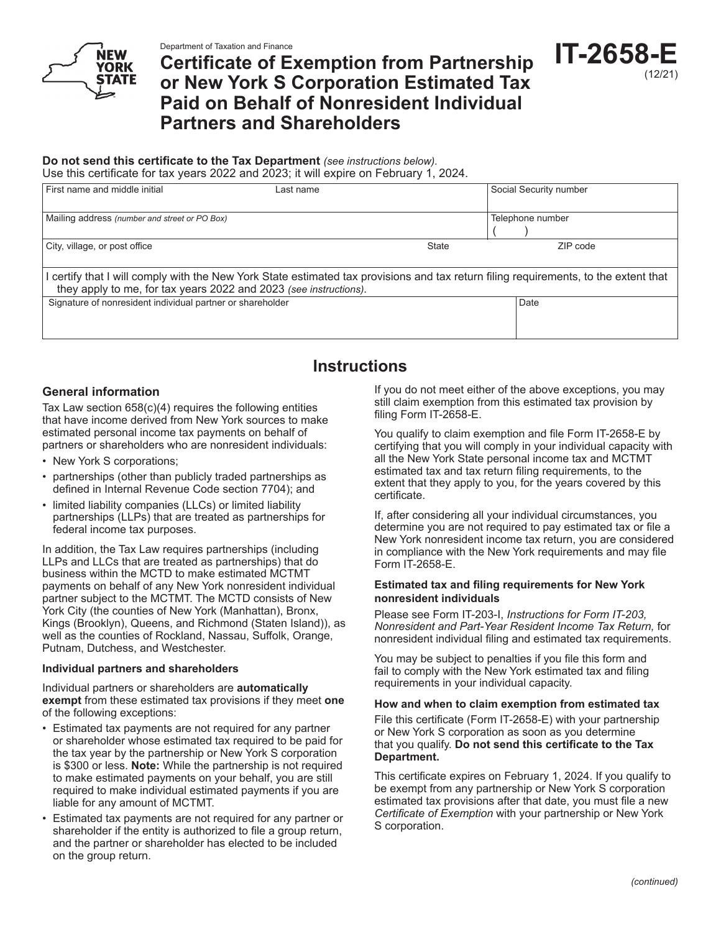# **Certificate of Exemption from Partnership or New York S Corporation Estimated Tax Paid on Behalf of Nonresident Individual Partners and Shareholders**

### **Do not send this certificate to the Tax Department** *(see instructions below).*

| Use this certificate for tax years 2022 and 2023; it will expire on February 1, 2024.                                                                                                                   |           |              |                        |  |
|---------------------------------------------------------------------------------------------------------------------------------------------------------------------------------------------------------|-----------|--------------|------------------------|--|
| First name and middle initial                                                                                                                                                                           | Last name |              | Social Security number |  |
| Mailing address (number and street or PO Box)                                                                                                                                                           |           |              | Telephone number       |  |
| City, village, or post office                                                                                                                                                                           |           | <b>State</b> | ZIP code               |  |
| certify that I will comply with the New York State estimated tax provisions and tax return filing requirements, to the extent that<br>they apply to me, for tax years 2022 and 2023 (see instructions). |           |              |                        |  |
| Signature of nonresident individual partner or shareholder                                                                                                                                              |           |              | Date                   |  |

## **Instructions**

#### **General information**

Tax Law section 658(c)(4) requires the following entities that have income derived from New York sources to make estimated personal income tax payments on behalf of partners or shareholders who are nonresident individuals:

- New York S corporations;
- partnerships (other than publicly traded partnerships as defined in Internal Revenue Code section 7704); and
- limited liability companies (LLCs) or limited liability partnerships (LLPs) that are treated as partnerships for federal income tax purposes.

In addition, the Tax Law requires partnerships (including LLPs and LLCs that are treated as partnerships) that do business within the MCTD to make estimated MCTMT payments on behalf of any New York nonresident individual partner subject to the MCTMT. The MCTD consists of New York City (the counties of New York (Manhattan), Bronx, Kings (Brooklyn), Queens, and Richmond (Staten Island)), as well as the counties of Rockland, Nassau, Suffolk, Orange, Putnam, Dutchess, and Westchester.

#### **Individual partners and shareholders**

Individual partners or shareholders are **automatically exempt** from these estimated tax provisions if they meet **one** of the following exceptions:

- Estimated tax payments are not required for any partner or shareholder whose estimated tax required to be paid for the tax year by the partnership or New York S corporation is \$300 or less. **Note:** While the partnership is not required to make estimated payments on your behalf, you are still required to make individual estimated payments if you are liable for any amount of MCTMT.
- Estimated tax payments are not required for any partner or shareholder if the entity is authorized to file a group return, and the partner or shareholder has elected to be included on the group return.

If you do not meet either of the above exceptions, you may still claim exemption from this estimated tax provision by filing Form IT-2658-E.

**IT-2658-E**

(12/21)

You qualify to claim exemption and file Form IT-2658-E by certifying that you will comply in your individual capacity with all the New York State personal income tax and MCTMT estimated tax and tax return filing requirements, to the extent that they apply to you, for the years covered by this certificate.

If, after considering all your individual circumstances, you determine you are not required to pay estimated tax or file a New York nonresident income tax return, you are considered in compliance with the New York requirements and may file Form IT-2658-E.

#### **Estimated tax and filing requirements for New York nonresident individuals**

Please see Form IT-203-I, *Instructions for Form IT-203, Nonresident and Part-Year Resident Income Tax Return,* for nonresident individual filing and estimated tax requirements.

You may be subject to penalties if you file this form and fail to comply with the New York estimated tax and filing requirements in your individual capacity.

#### **How and when to claim exemption from estimated tax**

File this certificate (Form IT-2658-E) with your partnership or New York S corporation as soon as you determine that you qualify. **Do not send this certificate to the Tax Department.**

This certificate expires on February 1, 2024. If you qualify to be exempt from any partnership or New York S corporation estimated tax provisions after that date, you must file a new *Certificate of Exemption* with your partnership or New York S corporation.